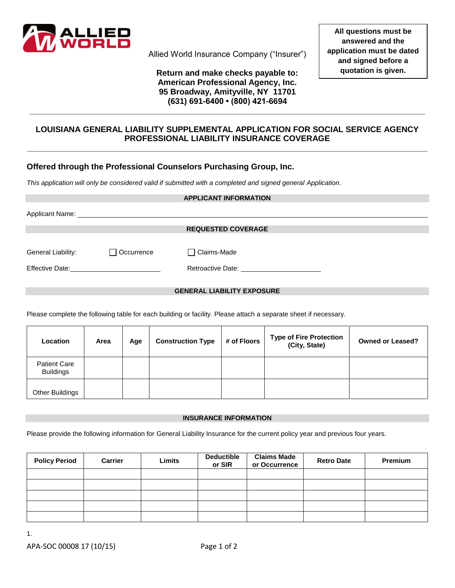

Allied World Insurance Company ("Insurer")

### **Return and make checks payable to: American Professional Agency, Inc. 95 Broadway, Amityville, NY 11701 (631) 691-6400 • (800) 421-6694**

# **LOUISIANA GENERAL LIABILITY SUPPLEMENTAL APPLICATION FOR SOCIAL SERVICE AGENCY PROFESSIONAL LIABILITY INSURANCE COVERAGE**

**\_\_\_\_\_\_\_\_\_\_\_\_\_\_\_\_\_\_\_\_\_\_\_\_\_\_\_\_\_\_\_\_\_\_\_\_\_\_\_\_\_\_\_\_\_\_\_\_\_\_\_\_\_\_\_\_\_\_\_\_\_\_\_\_\_\_\_\_\_\_\_\_\_\_\_\_\_\_\_\_\_\_\_\_\_\_\_\_**

**\_\_\_\_\_\_\_\_\_\_\_\_\_\_\_\_\_\_\_\_\_\_\_\_\_\_\_\_\_\_\_\_\_\_\_\_\_\_\_\_\_\_\_\_\_\_\_\_\_\_\_\_\_\_\_\_\_\_\_\_\_\_\_\_\_\_\_\_\_\_\_\_\_\_\_\_\_\_\_\_\_\_\_\_\_\_\_**

## **Offered through the Professional Counselors Purchasing Group, Inc.**

*This application will only be considered valid if submitted with a completed and signed general Application.*

|                                   |            | <b>APPLICANT INFORMATION</b>                    |  |  |  |
|-----------------------------------|------------|-------------------------------------------------|--|--|--|
|                                   |            |                                                 |  |  |  |
|                                   |            |                                                 |  |  |  |
|                                   |            | <b>REQUESTED COVERAGE</b>                       |  |  |  |
|                                   |            |                                                 |  |  |  |
| General Liability:                | Occurrence | $\Box$ Claims-Made                              |  |  |  |
|                                   |            | Retroactive Date: _____________________________ |  |  |  |
|                                   |            |                                                 |  |  |  |
| <b>GENERAL LIABILITY EXPOSURE</b> |            |                                                 |  |  |  |

Please complete the following table for each building or facility. Please attach a separate sheet if necessary.

| Location                                | Area | Age | <b>Construction Type</b> | # of Floors | <b>Type of Fire Protection</b><br>(City, State) | <b>Owned or Leased?</b> |
|-----------------------------------------|------|-----|--------------------------|-------------|-------------------------------------------------|-------------------------|
| <b>Patient Care</b><br><b>Buildings</b> |      |     |                          |             |                                                 |                         |
| <b>Other Buildings</b>                  |      |     |                          |             |                                                 |                         |

### **INSURANCE INFORMATION**

Please provide the following information for General Liability Insurance for the current policy year and previous four years.

| <b>Policy Period</b> | <b>Carrier</b> | Limits | <b>Deductible</b><br>or SIR | <b>Claims Made</b><br>or Occurrence | <b>Retro Date</b> | <b>Premium</b> |
|----------------------|----------------|--------|-----------------------------|-------------------------------------|-------------------|----------------|
|                      |                |        |                             |                                     |                   |                |
|                      |                |        |                             |                                     |                   |                |
|                      |                |        |                             |                                     |                   |                |
|                      |                |        |                             |                                     |                   |                |
|                      |                |        |                             |                                     |                   |                |

1.